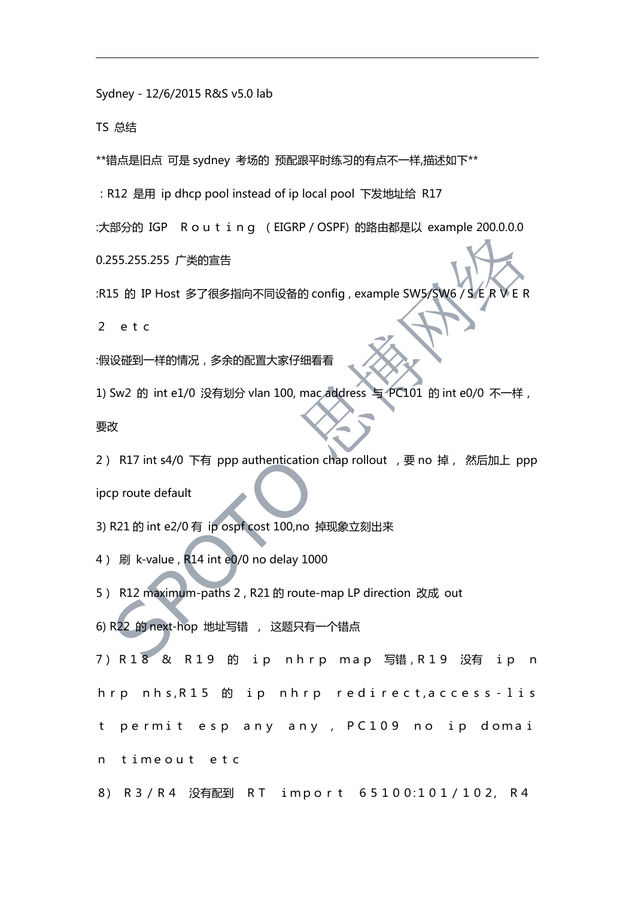Sydney - 12/6/2015 R&S v5.0 lab

TS 总结

\*\*错点是旧点 可是 sydney 考场的 预配跟平时练习的有点不一样,描述如下\*\*

:R12 是用 ip dhcp pool instead of ip local pool 下发地址给 R17

:大部分的 IGP Routing (EIGRP / OSPF) 的路由都是以 example 200.0.0.0

0.255.255.255 广类的宣告

:R15 的 IP Host 多了很多指向不同设备的 config, example SW5/SW6 / S E R

2 etc

:假设碰到一样的情况,多余的配置大家仔细看看

1) Sw2 的 int e1/0 没有划分 vlan 100, mac address 与 PC101 的 int e0/0 不一样,

要改善的人,但是我们的人们的人们的人们,我们的人们

2) R17 int s4/0 下有 ppp authentication chap rollout , 要 no 掉, 然后加上 ppp ipcp route default

3) R21 的 int e2/0 有 ip ospf cost 100,no 掉现象立刻出来

4) 刷 k-value , R14 int e0/0 no delay 1000

5) R12 maximum-paths 2 , R21 的 route-map LP direction 改成 out

6) R22 的 next-hop 地址写错 , 这题只有一个错点

7) R18 & R19 的 ip nhrp map 写错,R19 没有 ip n hrp nhs,R15 的 ip nhrp redirect,access-lis t permit esp any any , PC109 no ip domai n timeout etc

8) R3/R4 没有配到 RT import 65100:101/102, R4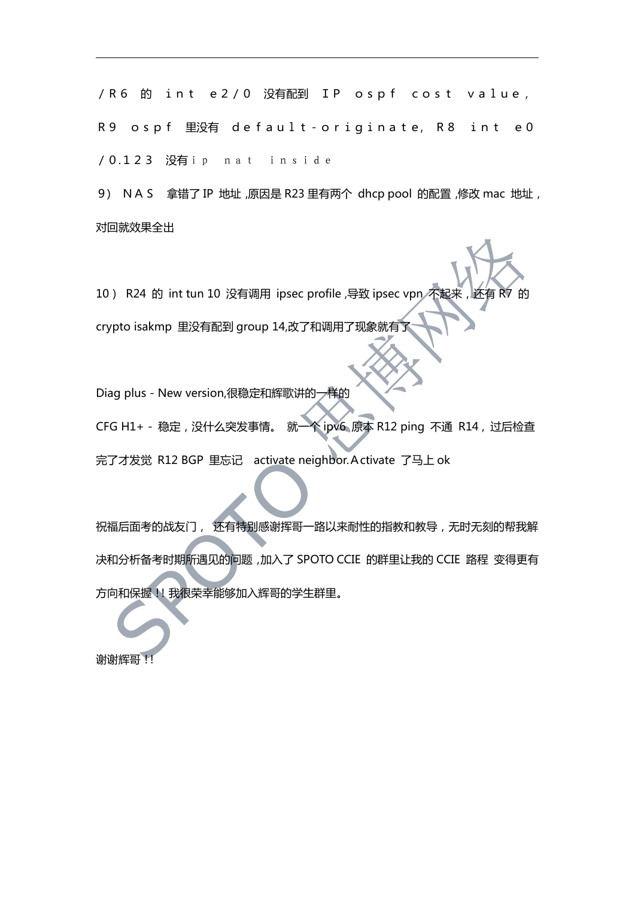/R6 的 int e2/0 没有配到 IP ospf cost value, R9 ospf 里没有 default-originate, R8 int e0 /0.123 没有ip nat inside

9) NAS 拿错了 IP 地址,原因是 R23 里有两个 dhcp pool 的配置,修改 mac 地址, 对回就效果全出

10) R24 的 int tun 10 没有调用 ipsec profile ,导致 ipsec vpn 不起来,还有 crypto isakmp 里没有配到 group 14,改了和调用了现象就有了

Diag plus - New version,很稳定和辉歌讲的一样的

CFG H1+ - 稳定,没什么突发事情。 就一个 ipv6 原本 R12 ping 不通 R14 , 过后检查 完了才发觉 R12 BGP 里忘记 activate neighbor.Activate 了马上 ok

祝福后面考的战友门, 还有特别感谢挥哥一路以来耐性的指教和教导, 无时无刻的帮我解 决和分析备考时期所遇见的问题,加入了 SPOTO CCIE 的群里让我的 CCIE 路程 变得更有 方向和保握!!我很荣幸能够加入辉哥的学生群里。

谢谢辉哥!